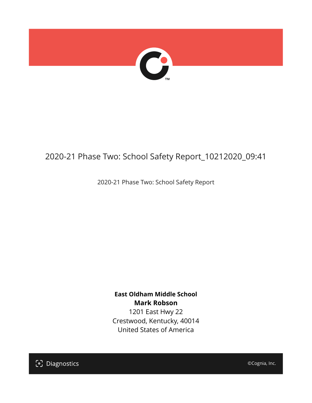

## 2020-21 Phase Two: School Safety Report\_10212020\_09:41

2020-21 Phase Two: School Safety Report

**East Oldham Middle School Mark Robson** 1201 East Hwy 22

Crestwood, Kentucky, 40014 United States of America

[၁] Diagnostics

©Cognia, Inc.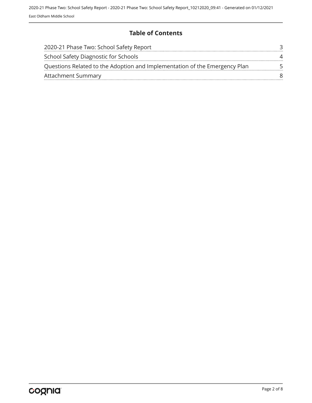### **Table of Contents**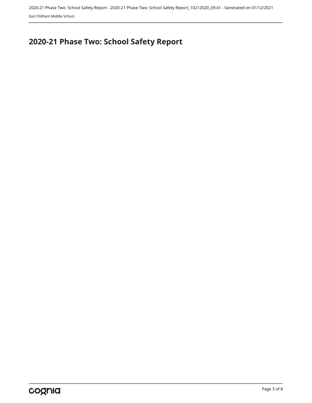# <span id="page-2-0"></span>**2020-21 Phase Two: School Safety Report**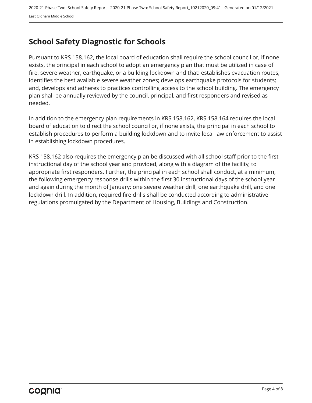## <span id="page-3-0"></span>**School Safety Diagnostic for Schools**

Pursuant to KRS 158.162, the local board of education shall require the school council or, if none exists, the principal in each school to adopt an emergency plan that must be utilized in case of fire, severe weather, earthquake, or a building lockdown and that: establishes evacuation routes; identifies the best available severe weather zones; develops earthquake protocols for students; and, develops and adheres to practices controlling access to the school building. The emergency plan shall be annually reviewed by the council, principal, and first responders and revised as needed.

In addition to the emergency plan requirements in KRS 158.162, KRS 158.164 requires the local board of education to direct the school council or, if none exists, the principal in each school to establish procedures to perform a building lockdown and to invite local law enforcement to assist in establishing lockdown procedures.

KRS 158.162 also requires the emergency plan be discussed with all school staff prior to the first instructional day of the school year and provided, along with a diagram of the facility, to appropriate first responders. Further, the principal in each school shall conduct, at a minimum, the following emergency response drills within the first 30 instructional days of the school year and again during the month of January: one severe weather drill, one earthquake drill, and one lockdown drill. In addition, required fire drills shall be conducted according to administrative regulations promulgated by the Department of Housing, Buildings and Construction.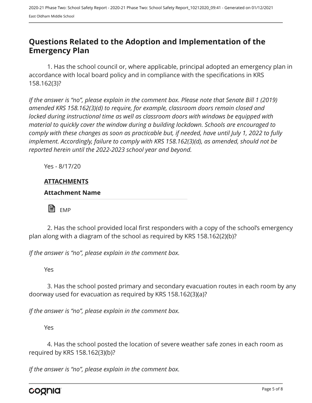## <span id="page-4-0"></span>**Questions Related to the Adoption and Implementation of the Emergency Plan**

1. Has the school council or, where applicable, principal adopted an emergency plan in accordance with local board policy and in compliance with the specifications in KRS 158.162(3)?

*If the answer is "no", please explain in the comment box. Please note that Senate Bill 1 (2019) amended KRS 158.162(3)(d) to require, for example, classroom doors remain closed and locked during instructional time as well as classroom doors with windows be equipped with material to quickly cover the window during a building lockdown. Schools are encouraged to comply with these changes as soon as practicable but, if needed, have until July 1, 2022 to fully implement. Accordingly, failure to comply with KRS 158.162(3)(d), as amended, should not be reported herein until the 2022-2023 school year and beyond.*

Yes - 8/17/20

#### **ATTACHMENTS**

#### **Attachment Name**

 $\blacksquare$  EMP

2. Has the school provided local first responders with a copy of the school's emergency plan along with a diagram of the school as required by KRS 158.162(2)(b)?

*If the answer is "no", please explain in the comment box.*

Yes

3. Has the school posted primary and secondary evacuation routes in each room by any doorway used for evacuation as required by KRS 158.162(3)(a)?

*If the answer is "no", please explain in the comment box.*

Yes

4. Has the school posted the location of severe weather safe zones in each room as required by KRS 158.162(3)(b)?

*If the answer is "no", please explain in the comment box.*

cognia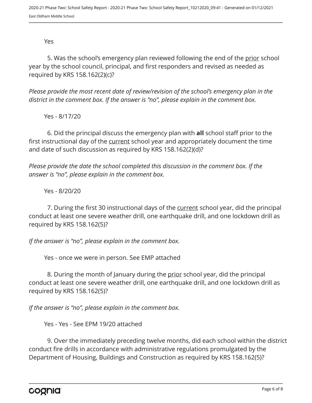Yes

5. Was the school's emergency plan reviewed following the end of the prior school year by the school council, principal, and first responders and revised as needed as required by KRS 158.162(2)(c)?

*Please provide the most recent date of review/revision of the school's emergency plan in the district in the comment box. If the answer is "no", please explain in the comment box.* 

Yes - 8/17/20

6. Did the principal discuss the emergency plan with **all** school staff prior to the first instructional day of the current school year and appropriately document the time and date of such discussion as required by KRS 158.162(2)(d)?

*Please provide the date the school completed this discussion in the comment box. If the answer is "no", please explain in the comment box.*

Yes - 8/20/20

7. During the first 30 instructional days of the current school year, did the principal conduct at least one severe weather drill, one earthquake drill, and one lockdown drill as required by KRS 158.162(5)?

*If the answer is "no", please explain in the comment box.*

Yes - once we were in person. See EMP attached

8. During the month of January during the prior school year, did the principal conduct at least one severe weather drill, one earthquake drill, and one lockdown drill as required by KRS 158.162(5)?

*If the answer is "no", please explain in the comment box.*

Yes - Yes - See EPM 19/20 attached

9. Over the immediately preceding twelve months, did each school within the district conduct fire drills in accordance with administrative regulations promulgated by the Department of Housing, Buildings and Construction as required by KRS 158.162(5)?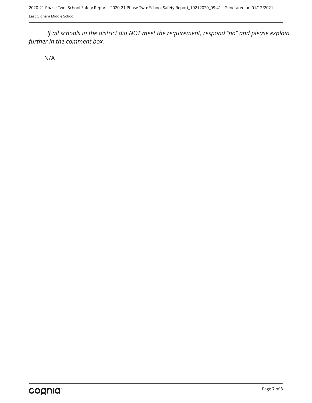*If all schools in the district did NOT meet the requirement, respond "no" and please explain further in the comment box.* 

N/A